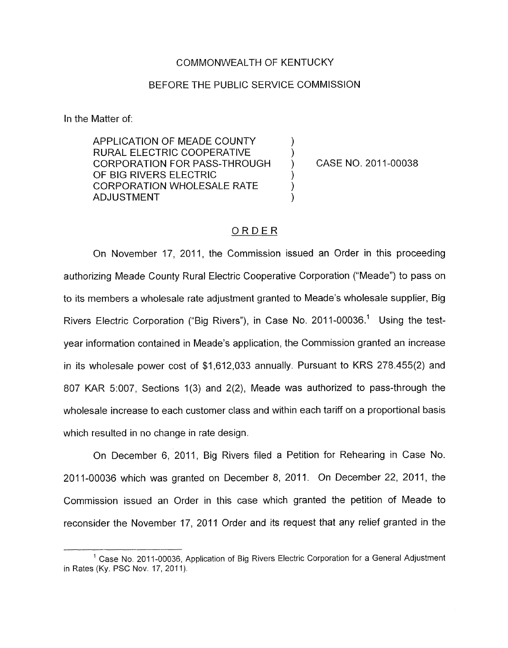#### COMMONWEALTH OF KENTUCKY

#### BEFORE THE PUBLIC SERVICE COMMISSION

In the Matter of:

APPLICATION OF MEADE COUNTY RURAL ELECTRIC COOPERATIVE  $\qquad$  )<br>CORPORATION FOR PASS-THROUGH ) CORPORATION FOR PASS-THROUGH OF BIG RIVERS ELECTRIC CORPORATION WHOLESALE RATE **ADJUSTMENT** 

CASE NO. 2011-00038

#### ORDER

On November 17, 2011, the Commission issued an Order in this proceeding authorizing Meade County Rural Electric Cooperative Corporation ("Meade") to pass on to its members a wholesale rate adjustment granted to Meade's wholesale supplier, Big Rivers Electric Corporation ("Big Rivers"), in Case No. 2011-00036.<sup>1</sup> Using the testyear information contained in Meade's application, the Commission granted an increase in its wholesale power cost of \$1,612,033 annually. Pursuant to KRS 278.455(2) and 807 KAR 5:007, Sections 1(3) and 2(2), Meade was authorized to pass-through the wholesale increase to each customer class and within each tariff on a proportional basis which resulted in no change in rate design.

On December 6, 2011, Big Rivers filed a Petition for Rehearing in Case No. 2011-00036 which was granted on December 8, 2011. On December 22, 2011, the Commission issued an Order in this case which granted the petition of Meade to reconsider the November 17, 2011 Order and its request that any relief granted in the

<sup>&</sup>lt;sup>1</sup> Case No. 2011-00036, Application of Big Rivers Electric Corporation for a General Adjustment in Rates (Ky. PSC Nov. 17, 2011).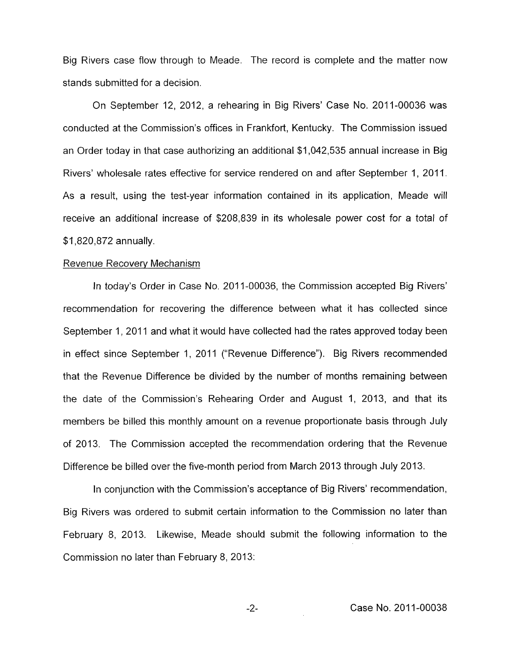Big Rivers case flow through to Meade. The record is complete and the matter now stands submitted for a decision.

On September 12, 2012, a rehearing in Big Rivers' Case No. 2011-00036 was conducted at the Commission's offices in Frankfort, Kentucky. The Commission issued an Order today in that case authorizing an additional \$1,042,535 annual increase in Big Rivers' wholesale rates effective for service rendered on and after September 1, 2011. As a result, using the test-year information contained in its application, Meade will receive an additional increase of \$208,839 in its wholesale power cost for a total of \$1,820,872 annually.

#### Revenue Recovery Mechanism

In today's Order in Case No. 2011-00036, the Commission accepted Big Rivers' recommendation for recovering the difference between what it has collected since September 1, 2011 and what it would have collected had the rates approved today been in effect since September 1, 2011 ("Revenue Difference"). Big Rivers recommended that the Revenue Difference be divided by the number of months remaining between the date of the Commission's Rehearing Order and August 1, 2013, and that its members be billed this monthly amount on a revenue proportionate basis through July of 2013. The Commission accepted the recommendation ordering that the Revenue Difference be billed over the five-month period from March 2013 through July 2013.

In conjunction with the Commission's acceptance of Big Rivers' recommendation, Big Rivers was ordered to submit certain information to the Commission no later than February 8, 2013. Likewise, Meade should submit the following information to the Commission no later than February 8, 2013: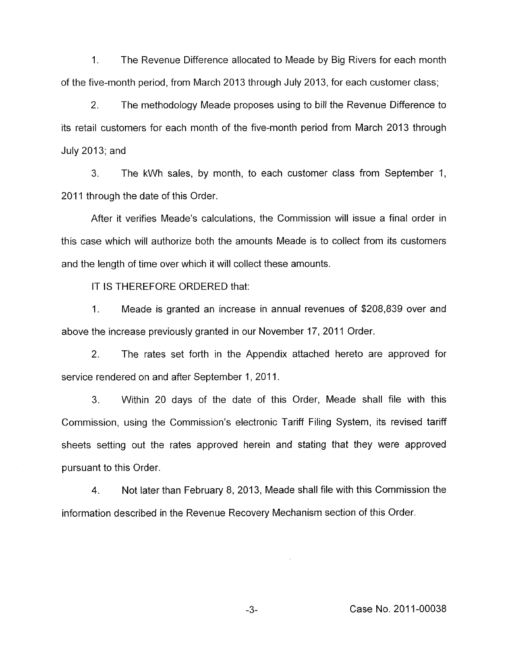1. The Revenue Difference allocated to Meade by Big Rivers for each month of the five-month period, from March 2013 through July 2013, for each customer class;

2. The methodology Meade proposes using to bill the Revenue Difference to its retail customers for each month of the five-month period from March 2013 through July 2013; and

3. The kWh sales, by month, to each customer class from September 1, 2011 through the date of this Order.

After it verifies Meade's calculations, the Commission will issue a final order in this case which will authorize both the amounts Meade is to collect from its customers and the length of time over which it will collect these amounts.

IT IS THEREFORE ORDERED that:

I. Meade is granted an increase in annual revenues of \$208,839 over and above the increase previously granted in our November 17, 2011 Order.

2. The rates set forth in the Appendix attached hereto are approved for service rendered on and after September 1, 2011.

3. Within 20 days of the date of this Order, Meade shall file with this Commission, using the Commission's electronic Tariff Filing System, its revised tariff sheets setting out the rates approved herein and stating that they were approved pursuant to this Order.

**4.** Not later than February 8, 2013, Meade shall file with this Commission the information described in the Revenue Recovery Mechanism section of this Order.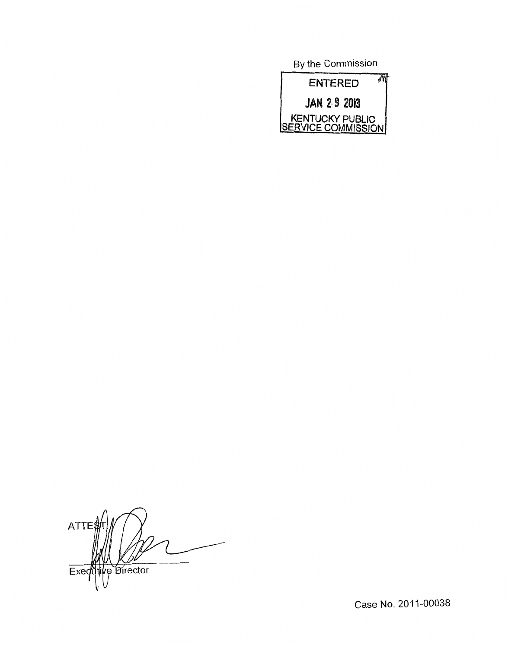By the Commission



ATTE\$ Exequitive Director

Case No. 2011-00038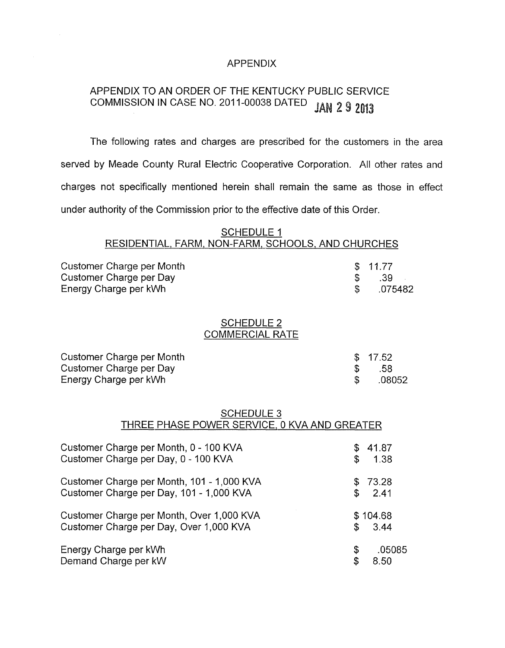### APPENDIX

# APPENDIX TO AN ORDER OF THE KENTUCKY PUBLIC SERVICE COMMISSION IN CASE NO. 201 1-00038 DATED

The following rates and charges are prescribed for the customers in the area served by Meade County Rural Electric Cooperative Corporation. All other rates and charges not specifically mentioned herein shall remain the same as those in effect under authority of the Commission prior to the effective date of this Order.

### SCHEDULE 1 RESIDENTIAL, FARM, NON-FARM, SCHOOLS, AND CHURCHES

| Customer Charge per Month | \$11.77 |
|---------------------------|---------|
| Customer Charge per Day   | - 39    |
| Energy Charge per kWh     | .075482 |

#### SCHEDULE 2 COMMERCIAL RATE

| Customer Charge per Month | \$17.52 |
|---------------------------|---------|
| Customer Charge per Day   | - .58   |
| Energy Charge per kWh     | .08052  |

### SCHEDULE 3 THREE PHASE POWER SERVICE, 0 KVA AND GREATER

| Customer Charge per Month, 0 - 100 KVA     |     | 41.87    |
|--------------------------------------------|-----|----------|
| Customer Charge per Day, 0 - 100 KVA       | \$  | 1.38     |
| Customer Charge per Month, 101 - 1,000 KVA |     | \$73.28  |
| Customer Charge per Day, 101 - 1,000 KVA   | \$  | 2.41     |
| Customer Charge per Month, Over 1,000 KVA  |     | \$104.68 |
| Customer Charge per Day, Over 1,000 KVA    | \$. | 3.44     |
| Energy Charge per kWh                      | \$  | .05085   |
| Demand Charge per kW                       | \$  | 8.50     |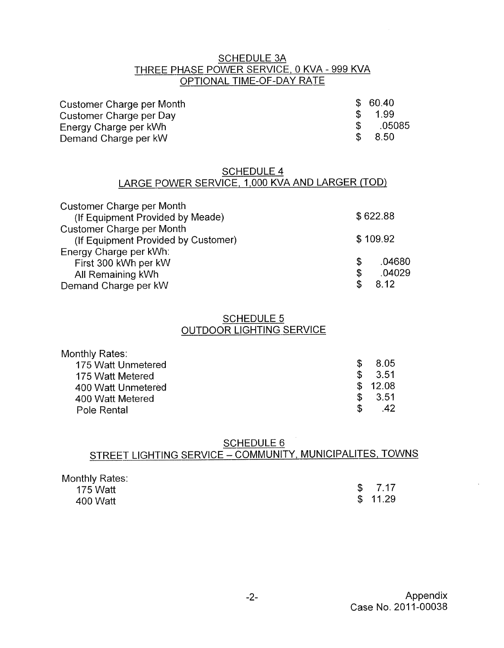# SCHEDULE 3A THREE PHASE POWER SERVICE, 0 KVA - 999 KVA SCHEDULE 3A<br>- 1ASE POWER SERVICE, 0 KVA<br>- OPTIONAL TIME-OF-DAY RATE

| Customer Charge per Month |     | \$60.40 |
|---------------------------|-----|---------|
| Customer Charge per Day   | -SS | 1.99    |
| Energy Charge per kWh     |     | .05085  |
| Demand Charge per kW      |     | \$ 8.50 |

### SCHEDULE 4 LARGE POWER SERVICE, 1,000 KVA AND LARGER (TOD)

| Customer Charge per Month<br>(If Equipment Provided by Meade) |   | \$622.88 |
|---------------------------------------------------------------|---|----------|
| Customer Charge per Month                                     |   |          |
| (If Equipment Provided by Customer)                           |   | \$109.92 |
| Energy Charge per kWh:                                        |   |          |
| First 300 kWh per kW                                          | S | .04680   |
| All Remaining kWh                                             | S | .04029   |
| Demand Charge per kW                                          |   | 8.12     |

## SCHEDULE 5 OUTDOOR LIGHTING-SERVICE

| Monthly Rates:     |     |                    |
|--------------------|-----|--------------------|
| 175 Watt Unmetered | SS. | - 8.05             |
| 175 Watt Metered   |     | $\frac{1}{2}$ 3.51 |
| 400 Watt Unmetered |     | \$12.08            |
| 400 Watt Metered   | SS. | -3.51              |
| Pole Rental        | S   |                    |

# SCHEDULE 6 STREET LIGHTING SERVICE - COMMUNITY, MUNICIPALITES, TOWNS

| Monthly Rates: |         |
|----------------|---------|
| 175 Watt       | \$7.17  |
| 400 Watt       | \$11.29 |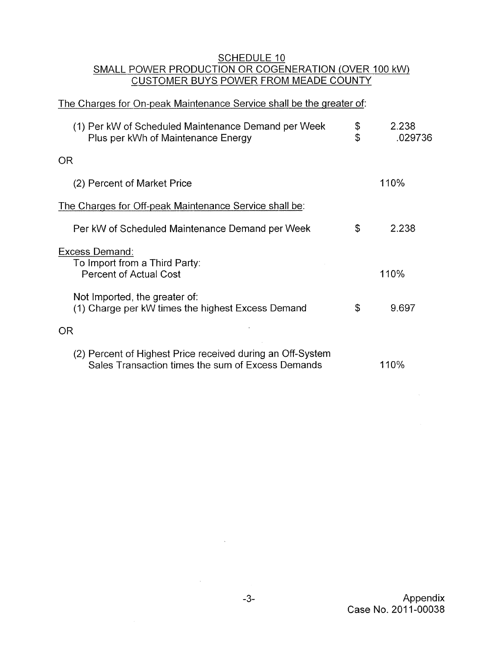### SCHEDULE 10 SMALL POWER PRODUCTION OR COGENERATION (OVER 100 kW) CUSTOMER BUYS POWER FROM MEADE COUNTY

## The Charges for On-peak Maintenance Service shall be the greater of:

| (1) Per kW of Scheduled Maintenance Demand per Week<br>Plus per kWh of Maintenance Energy                       | \$<br>\$ | 2.238<br>.029736 |
|-----------------------------------------------------------------------------------------------------------------|----------|------------------|
| <b>OR</b>                                                                                                       |          |                  |
| (2) Percent of Market Price                                                                                     |          | 110%             |
| The Charges for Off-peak Maintenance Service shall be:                                                          |          |                  |
| Per kW of Scheduled Maintenance Demand per Week                                                                 | \$       | 2.238            |
| Excess Demand:<br>To Import from a Third Party:<br><b>Percent of Actual Cost</b>                                |          | 110%             |
| Not Imported, the greater of:<br>(1) Charge per kW times the highest Excess Demand                              | \$       | 9.697            |
| <b>OR</b>                                                                                                       |          |                  |
| (2) Percent of Highest Price received during an Off-System<br>Sales Transaction times the sum of Excess Demands |          | 110%             |

 $\bar{\mathcal{A}}$ 

 $\Delta \phi$